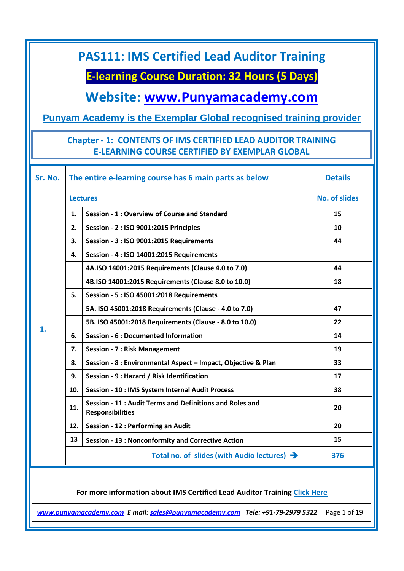**E-learning Course Duration: 32 Hours (5 Days)**

**Website: [www.Punyamacademy.com](http://www.punyamacademy.com/)**

#### **Punyam Academy is the Exemplar Global recognised training provider**

#### **Chapter - 1: CONTENTS OF IMS CERTIFIED LEAD AUDITOR TRAINING E-LEARNING COURSE CERTIFIED BY EXEMPLAR GLOBAL**

| Sr. No. |                 | The entire e-learning course has 6 main parts as below                              | <b>Details</b>       |
|---------|-----------------|-------------------------------------------------------------------------------------|----------------------|
|         | <b>Lectures</b> |                                                                                     | <b>No. of slides</b> |
|         | 1.              | Session - 1 : Overview of Course and Standard                                       | 15                   |
|         | 2.              | Session - 2 : ISO 9001:2015 Principles                                              | 10                   |
|         | 3.              | Session - 3 : ISO 9001:2015 Requirements                                            | 44                   |
|         | 4.              | Session - 4 : ISO 14001:2015 Requirements                                           |                      |
|         |                 | 4A.ISO 14001:2015 Requirements (Clause 4.0 to 7.0)                                  | 44                   |
|         |                 | 4B.ISO 14001:2015 Requirements (Clause 8.0 to 10.0)                                 | 18                   |
|         | 5.              | Session - 5 : ISO 45001:2018 Requirements                                           |                      |
|         |                 | 5A. ISO 45001:2018 Requirements (Clause - 4.0 to 7.0)                               | 47                   |
|         |                 | 5B. ISO 45001:2018 Requirements (Clause - 8.0 to 10.0)                              | 22                   |
| 1.      | 6.              | <b>Session - 6 : Documented Information</b>                                         | 14                   |
|         | 7.              | <b>Session - 7: Risk Management</b>                                                 | 19                   |
|         | 8.              | Session - 8 : Environmental Aspect - Impact, Objective & Plan                       | 33                   |
|         | 9.              | Session - 9 : Hazard / Risk Identification                                          | 17                   |
|         | 10.             | Session - 10 : IMS System Internal Audit Process                                    | 38                   |
|         | 11.             | Session - 11 : Audit Terms and Definitions and Roles and<br><b>Responsibilities</b> | 20                   |
|         | 12.             | Session - 12 : Performing an Audit                                                  | 20                   |
|         | 13              | <b>Session - 13: Nonconformity and Corrective Action</b>                            | 15                   |
|         |                 | Total no. of slides (with Audio lectures) →                                         | 376                  |

**For more information about IMS Certified Lead Auditor Training [Click Here](https://www.punyamacademy.com/course/hse/ims-certified-lead-auditor-training)**

*[www.punyamacademy.com](https://www.punyamacademy.com/) E mail: [sales@punyamacademy.com](mailto:sales@punyamacademy.com) Tele: +91-79-2979 5322* Page 1 of 19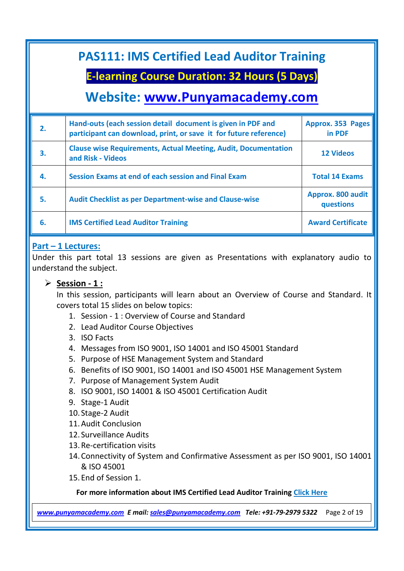### **E-learning Course Duration: 32 Hours (5 Days)**

### **Website: [www.Punyamacademy.com](http://www.punyamacademy.com/)**

| $\mathbf{2}$ | Hand-outs (each session detail document is given in PDF and<br>participant can download, print, or save it for future reference) | Approx. 353 Pages<br>in PDF    |
|--------------|----------------------------------------------------------------------------------------------------------------------------------|--------------------------------|
| 3.           | <b>Clause wise Requirements, Actual Meeting, Audit, Documentation</b><br>and Risk - Videos                                       | <b>12 Videos</b>               |
| 4.           | Session Exams at end of each session and Final Exam                                                                              | <b>Total 14 Exams</b>          |
| 5.           | <b>Audit Checklist as per Department-wise and Clause-wise</b>                                                                    | Approx. 800 audit<br>questions |
| 6.           | <b>IMS Certified Lead Auditor Training</b>                                                                                       | <b>Award Certificate</b>       |

#### **Part – 1 Lectures:**

Under this part total 13 sessions are given as Presentations with explanatory audio to understand the subject.

#### **Session - 1 :**

In this session, participants will learn about an Overview of Course and Standard. It covers total 15 slides on below topics:

- 1. Session 1 : Overview of Course and Standard
- 2. Lead Auditor Course Objectives
- 3. ISO Facts
- 4. Messages from ISO 9001, ISO 14001 and ISO 45001 Standard
- 5. Purpose of HSE Management System and Standard
- 6. Benefits of ISO 9001, ISO 14001 and ISO 45001 HSE Management System
- 7. Purpose of Management System Audit
- 8. ISO 9001, ISO 14001 & ISO 45001 Certification Audit
- 9. Stage-1 Audit
- 10. Stage-2 Audit
- 11.Audit Conclusion
- 12. Surveillance Audits
- 13.Re-certification visits
- 14.Connectivity of System and Confirmative Assessment as per ISO 9001, ISO 14001 & ISO 45001
- 15.End of Session 1.

#### **For more information about IMS Certified Lead Auditor Training [Click Here](https://www.punyamacademy.com/course/hse/ims-certified-lead-auditor-training)**

*[www.punyamacademy.com](https://www.punyamacademy.com/) E mail: [sales@punyamacademy.com](mailto:sales@punyamacademy.com) Tele: +91-79-2979 5322* Page 2 of 19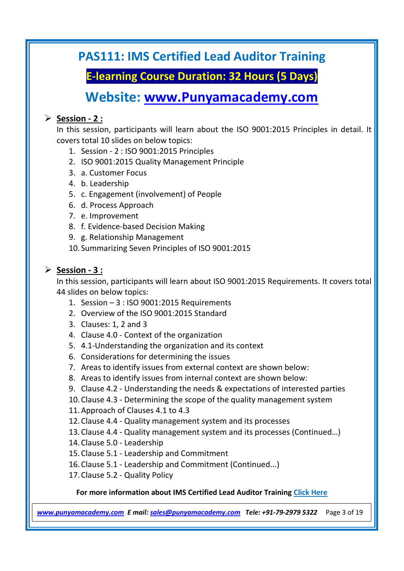**E-learning Course Duration: 32 Hours (5 Days)**

## **Website: [www.Punyamacademy.com](http://www.punyamacademy.com/)**

#### **Session - 2 :**

In this session, participants will learn about the ISO 9001:2015 Principles in detail. It covers total 10 slides on below topics:

- 1. Session 2 : ISO 9001:2015 Principles
- 2. ISO 9001:2015 Quality Management Principle
- 3. a. Customer Focus
- 4. b. Leadership
- 5. c. Engagement (involvement) of People
- 6. d. Process Approach
- 7. e. Improvement
- 8. f. Evidence-based Decision Making
- 9. g. Relationship Management
- 10. Summarizing Seven Principles of ISO 9001:2015

#### **Session - 3 :**

In this session, participants will learn about ISO 9001:2015 Requirements. It covers total 44 slides on below topics:

- 1. Session 3 : ISO 9001:2015 Requirements
- 2. Overview of the ISO 9001:2015 Standard
- 3. Clauses: 1, 2 and 3
- 4. Clause 4.0 Context of the organization
- 5. 4.1-Understanding the organization and its context
- 6. Considerations for determining the issues
- 7. Areas to identify issues from external context are shown below:
- 8. Areas to identify issues from internal context are shown below:
- 9. Clause 4.2 Understanding the needs & expectations of interested parties
- 10.Clause 4.3 Determining the scope of the quality management system
- 11.Approach of Clauses 4.1 to 4.3

12.Clause 4.4 - Quality management system and its processes

- 13.Clause 4.4 Quality management system and its processes (Continued…)
- 14.Clause 5.0 Leadership
- 15.Clause 5.1 Leadership and Commitment
- 16.Clause 5.1 Leadership and Commitment (Continued...)
- 17.Clause 5.2 Quality Policy

#### **For more information about IMS Certified Lead Auditor Training [Click Here](https://www.punyamacademy.com/course/hse/ims-certified-lead-auditor-training)**

*[www.punyamacademy.com](https://www.punyamacademy.com/) E mail: [sales@punyamacademy.com](mailto:sales@punyamacademy.com) Tele: +91-79-2979 5322* Page 3 of 19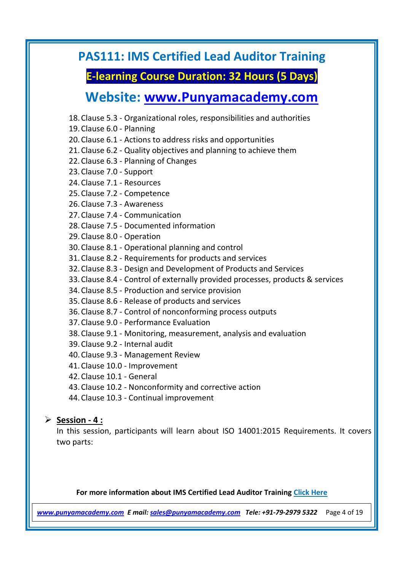### **E-learning Course Duration: 32 Hours (5 Days)**

### **Website: [www.Punyamacademy.com](http://www.punyamacademy.com/)**

- 18.Clause 5.3 Organizational roles, responsibilities and authorities
- 19.Clause 6.0 Planning

20.Clause 6.1 - Actions to address risks and opportunities

- 21.Clause 6.2 Quality objectives and planning to achieve them
- 22.Clause 6.3 Planning of Changes
- 23.Clause 7.0 Support
- 24.Clause 7.1 Resources
- 25.Clause 7.2 Competence
- 26.Clause 7.3 Awareness
- 27.Clause 7.4 Communication
- 28.Clause 7.5 Documented information
- 29.Clause 8.0 Operation
- 30.Clause 8.1 Operational planning and control
- 31.Clause 8.2 Requirements for products and services
- 32.Clause 8.3 Design and Development of Products and Services
- 33.Clause 8.4 Control of externally provided processes, products & services
- 34.Clause 8.5 Production and service provision
- 35.Clause 8.6 Release of products and services
- 36.Clause 8.7 Control of nonconforming process outputs
- 37.Clause 9.0 Performance Evaluation
- 38.Clause 9.1 Monitoring, measurement, analysis and evaluation
- 39.Clause 9.2 Internal audit
- 40.Clause 9.3 Management Review
- 41.Clause 10.0 Improvement
- 42.Clause 10.1 General
- 43.Clause 10.2 Nonconformity and corrective action
- 44.Clause 10.3 Continual improvement

#### **Session - 4 :**

In this session, participants will learn about ISO 14001:2015 Requirements. It covers two parts:

#### **For more information about IMS Certified Lead Auditor Training [Click Here](https://www.punyamacademy.com/course/hse/ims-certified-lead-auditor-training)**

*[www.punyamacademy.com](https://www.punyamacademy.com/) E mail: [sales@punyamacademy.com](mailto:sales@punyamacademy.com) Tele: +91-79-2979 5322* Page 4 of 19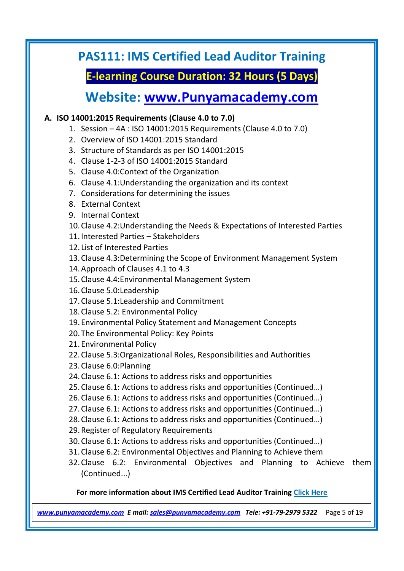### **E-learning Course Duration: 32 Hours (5 Days)**

### **Website: [www.Punyamacademy.com](http://www.punyamacademy.com/)**

#### **A. ISO 14001:2015 Requirements (Clause 4.0 to 7.0)**

- 1. Session 4A : ISO 14001:2015 Requirements (Clause 4.0 to 7.0)
- 2. Overview of ISO 14001:2015 Standard
- 3. Structure of Standards as per ISO 14001:2015
- 4. Clause 1-2-3 of ISO 14001:2015 Standard
- 5. Clause 4.0:Context of the Organization
- 6. Clause 4.1:Understanding the organization and its context
- 7. Considerations for determining the issues
- 8. External Context
- 9. Internal Context
- 10.Clause 4.2:Understanding the Needs & Expectations of Interested Parties
- 11.Interested Parties Stakeholders
- 12. List of Interested Parties
- 13.Clause 4.3:Determining the Scope of Environment Management System
- 14.Approach of Clauses 4.1 to 4.3
- 15.Clause 4.4:Environmental Management System
- 16.Clause 5.0:Leadership
- 17.Clause 5.1:Leadership and Commitment
- 18.Clause 5.2: Environmental Policy
- 19.Environmental Policy Statement and Management Concepts
- 20.The Environmental Policy: Key Points
- 21.Environmental Policy
- 22.Clause 5.3:Organizational Roles, Responsibilities and Authorities
- 23.Clause 6.0:Planning
- 24.Clause 6.1: Actions to address risks and opportunities
- 25.Clause 6.1: Actions to address risks and opportunities (Continued…)
- 26.Clause 6.1: Actions to address risks and opportunities (Continued…)
- 27.Clause 6.1: Actions to address risks and opportunities (Continued…)
- 28.Clause 6.1: Actions to address risks and opportunities (Continued…)
- 29.Register of Regulatory Requirements
- 30.Clause 6.1: Actions to address risks and opportunities (Continued…)
- 31.Clause 6.2: Environmental Objectives and Planning to Achieve them
- 32.Clause 6.2: Environmental Objectives and Planning to Achieve them (Continued...)

#### **For more information about IMS Certified Lead Auditor Training [Click Here](https://www.punyamacademy.com/course/hse/ims-certified-lead-auditor-training)**

*[www.punyamacademy.com](https://www.punyamacademy.com/) E mail: [sales@punyamacademy.com](mailto:sales@punyamacademy.com) Tele: +91-79-2979 5322* Page 5 of 19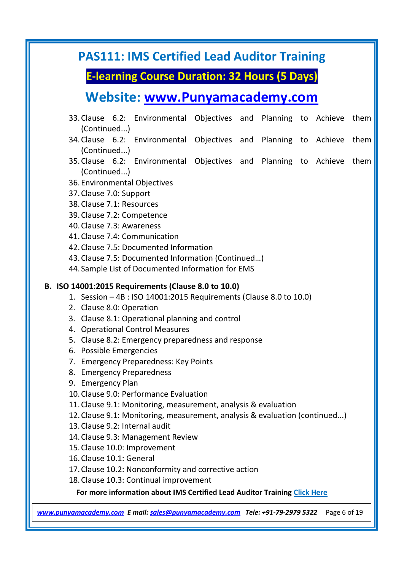### **E-learning Course Duration: 32 Hours (5 Days)**

# **Website: [www.Punyamacademy.com](http://www.punyamacademy.com/)**

- 33.Clause 6.2: Environmental Objectives and Planning to Achieve them (Continued...)
- 34.Clause 6.2: Environmental Objectives and Planning to Achieve them (Continued...)
- 35.Clause 6.2: Environmental Objectives and Planning to Achieve them (Continued...)
- 36.Environmental Objectives
- 37.Clause 7.0: Support
- 38.Clause 7.1: Resources
- 39.Clause 7.2: Competence
- 40.Clause 7.3: Awareness
- 41.Clause 7.4: Communication
- 42.Clause 7.5: Documented Information
- 43.Clause 7.5: Documented Information (Continued…)
- 44. Sample List of Documented Information for EMS

#### **B. ISO 14001:2015 Requirements (Clause 8.0 to 10.0)**

- 1. Session 4B : ISO 14001:2015 Requirements (Clause 8.0 to 10.0)
- 2. Clause 8.0: Operation
- 3. Clause 8.1: Operational planning and control
- 4. Operational Control Measures
- 5. Clause 8.2: Emergency preparedness and response
- 6. Possible Emergencies
- 7. Emergency Preparedness: Key Points
- 8. Emergency Preparedness
- 9. Emergency Plan
- 10.Clause 9.0: Performance Evaluation
- 11.Clause 9.1: Monitoring, measurement, analysis & evaluation
- 12.Clause 9.1: Monitoring, measurement, analysis & evaluation (continued...)
- 13.Clause 9.2: Internal audit
- 14.Clause 9.3: Management Review
- 15.Clause 10.0: Improvement
- 16.Clause 10.1: General
- 17.Clause 10.2: Nonconformity and corrective action
- 18.Clause 10.3: Continual improvement

**For more information about IMS Certified Lead Auditor Training [Click Here](https://www.punyamacademy.com/course/hse/ims-certified-lead-auditor-training)**

*[www.punyamacademy.com](https://www.punyamacademy.com/) E mail: [sales@punyamacademy.com](mailto:sales@punyamacademy.com) Tele: +91-79-2979 5322* Page 6 of 19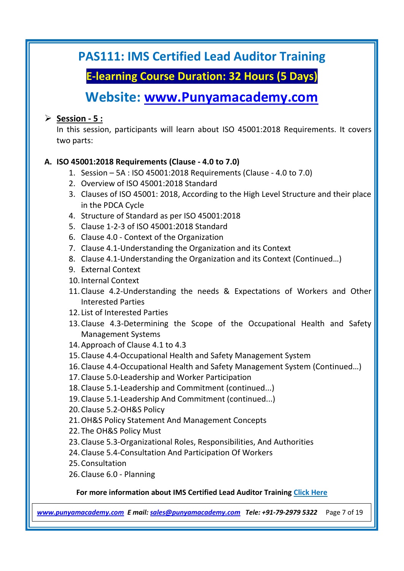**E-learning Course Duration: 32 Hours (5 Days)**

## **Website: [www.Punyamacademy.com](http://www.punyamacademy.com/)**

#### **Session - 5 :**

In this session, participants will learn about ISO 45001:2018 Requirements. It covers two parts:

#### **A. ISO 45001:2018 Requirements (Clause - 4.0 to 7.0)**

- 1. Session 5A : ISO 45001:2018 Requirements (Clause 4.0 to 7.0)
- 2. Overview of ISO 45001:2018 Standard
- 3. Clauses of ISO 45001: 2018, According to the High Level Structure and their place in the PDCA Cycle
- 4. Structure of Standard as per ISO 45001:2018
- 5. Clause 1-2-3 of ISO 45001:2018 Standard
- 6. Clause 4.0 Context of the Organization
- 7. Clause 4.1-Understanding the Organization and its Context
- 8. Clause 4.1-Understanding the Organization and its Context (Continued…)
- 9. External Context
- 10.Internal Context
- 11.Clause 4.2-Understanding the needs & Expectations of Workers and Other Interested Parties
- 12. List of Interested Parties
- 13.Clause 4.3-Determining the Scope of the Occupational Health and Safety Management Systems
- 14.Approach of Clause 4.1 to 4.3
- 15.Clause 4.4-Occupational Health and Safety Management System
- 16.Clause 4.4-Occupational Health and Safety Management System (Continued…)
- 17.Clause 5.0-Leadership and Worker Participation
- 18.Clause 5.1-Leadership and Commitment (continued...)
- 19.Clause 5.1-Leadership And Commitment (continued...)
- 20.Clause 5.2-OH&S Policy
- 21.OH&S Policy Statement And Management Concepts
- 22.The OH&S Policy Must
- 23.Clause 5.3-Organizational Roles, Responsibilities, And Authorities
- 24.Clause 5.4-Consultation And Participation Of Workers
- 25.Consultation
- 26.Clause 6.0 Planning

#### **For more information about IMS Certified Lead Auditor Training [Click Here](https://www.punyamacademy.com/course/hse/ims-certified-lead-auditor-training)**

*[www.punyamacademy.com](https://www.punyamacademy.com/) E mail: [sales@punyamacademy.com](mailto:sales@punyamacademy.com) Tele: +91-79-2979 5322* Page 7 of 19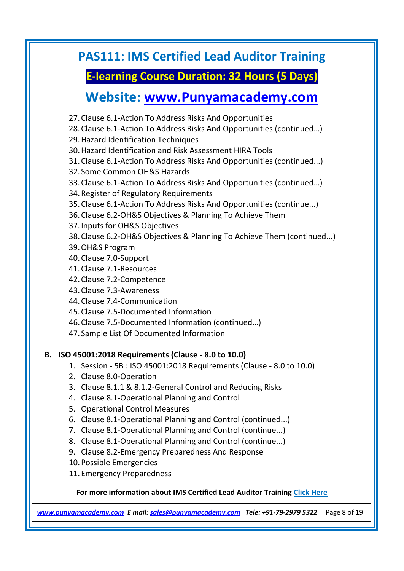### **E-learning Course Duration: 32 Hours (5 Days)**

### **Website: [www.Punyamacademy.com](http://www.punyamacademy.com/)**

- 27.Clause 6.1-Action To Address Risks And Opportunities
- 28.Clause 6.1-Action To Address Risks And Opportunities (continued…)
- 29.Hazard Identification Techniques
- 30.Hazard Identification and Risk Assessment HIRA Tools
- 31.Clause 6.1-Action To Address Risks And Opportunities (continued...)
- 32. Some Common OH&S Hazards
- 33.Clause 6.1-Action To Address Risks And Opportunities (continued…)
- 34.Register of Regulatory Requirements
- 35.Clause 6.1-Action To Address Risks And Opportunities (continue...)
- 36.Clause 6.2-OH&S Objectives & Planning To Achieve Them
- 37.Inputs for OH&S Objectives
- 38.Clause 6.2-OH&S Objectives & Planning To Achieve Them (continued...)
- 39.OH&S Program
- 40.Clause 7.0-Support
- 41.Clause 7.1-Resources
- 42.Clause 7.2-Competence
- 43.Clause 7.3-Awareness
- 44.Clause 7.4-Communication
- 45.Clause 7.5-Documented Information
- 46.Clause 7.5-Documented Information (continued…)
- 47. Sample List Of Documented Information

#### **B. ISO 45001:2018 Requirements (Clause - 8.0 to 10.0)**

- 1. Session 5B : ISO 45001:2018 Requirements (Clause 8.0 to 10.0)
- 2. Clause 8.0-Operation
- 3. Clause 8.1.1 & 8.1.2-General Control and Reducing Risks
- 4. Clause 8.1-Operational Planning and Control
- 5. Operational Control Measures
- 6. Clause 8.1-Operational Planning and Control (continued...)
- 7. Clause 8.1-Operational Planning and Control (continue...)
- 8. Clause 8.1-Operational Planning and Control (continue...)
- 9. Clause 8.2-Emergency Preparedness And Response
- 10.Possible Emergencies
- 11.Emergency Preparedness

#### **For more information about IMS Certified Lead Auditor Training [Click Here](https://www.punyamacademy.com/course/hse/ims-certified-lead-auditor-training)**

*[www.punyamacademy.com](https://www.punyamacademy.com/) E mail: [sales@punyamacademy.com](mailto:sales@punyamacademy.com) Tele: +91-79-2979 5322* Page 8 of 19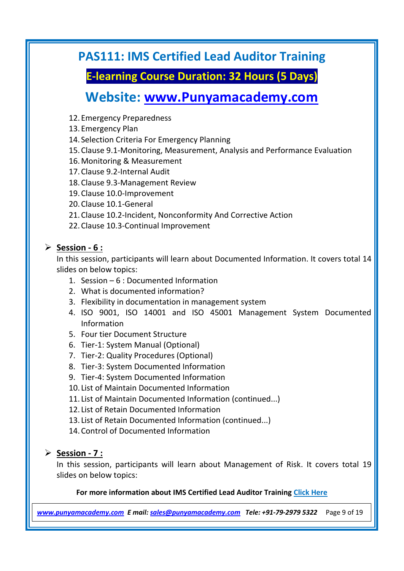**E-learning Course Duration: 32 Hours (5 Days)**

### **Website: [www.Punyamacademy.com](http://www.punyamacademy.com/)**

- 12.Emergency Preparedness
- 13.Emergency Plan
- 14. Selection Criteria For Emergency Planning
- 15.Clause 9.1-Monitoring, Measurement, Analysis and Performance Evaluation
- 16.Monitoring & Measurement
- 17.Clause 9.2-Internal Audit
- 18.Clause 9.3-Management Review
- 19.Clause 10.0-Improvement
- 20.Clause 10.1-General
- 21.Clause 10.2-Incident, Nonconformity And Corrective Action
- 22.Clause 10.3-Continual Improvement

#### **Session - 6 :**

In this session, participants will learn about Documented Information. It covers total 14 slides on below topics:

- 1. Session 6 : Documented Information
- 2. What is documented information?
- 3. Flexibility in documentation in management system
- 4. ISO 9001, ISO 14001 and ISO 45001 Management System Documented Information
- 5. Four tier Document Structure
- 6. Tier-1: System Manual (Optional)
- 7. Tier-2: Quality Procedures (Optional)
- 8. Tier-3: System Documented Information
- 9. Tier-4: System Documented Information
- 10. List of Maintain Documented Information
- 11. List of Maintain Documented Information (continued...)
- 12. List of Retain Documented Information
- 13. List of Retain Documented Information (continued...)
- 14.Control of Documented Information

#### **Session - 7 :**

In this session, participants will learn about Management of Risk. It covers total 19 slides on below topics:

#### **For more information about IMS Certified Lead Auditor Training [Click Here](https://www.punyamacademy.com/course/hse/ims-certified-lead-auditor-training)**

*[www.punyamacademy.com](https://www.punyamacademy.com/) E mail: [sales@punyamacademy.com](mailto:sales@punyamacademy.com) Tele: +91-79-2979 5322* Page 9 of 19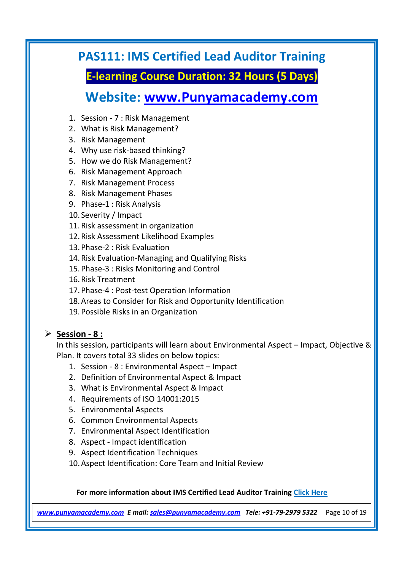**E-learning Course Duration: 32 Hours (5 Days)**

## **Website: [www.Punyamacademy.com](http://www.punyamacademy.com/)**

- 1. Session 7 : Risk Management
- 2. What is Risk Management?
- 3. Risk Management
- 4. Why use risk-based thinking?
- 5. How we do Risk Management?
- 6. Risk Management Approach
- 7. Risk Management Process
- 8. Risk Management Phases
- 9. Phase-1 : Risk Analysis
- 10. Severity / Impact
- 11.Risk assessment in organization
- 12.Risk Assessment Likelihood Examples
- 13.Phase-2 : Risk Evaluation
- 14.Risk Evaluation-Managing and Qualifying Risks
- 15.Phase-3 : Risks Monitoring and Control
- 16.Risk Treatment
- 17.Phase-4 : Post-test Operation Information
- 18.Areas to Consider for Risk and Opportunity Identification
- 19.Possible Risks in an Organization

#### **Session - 8 :**

In this session, participants will learn about Environmental Aspect – Impact, Objective & Plan. It covers total 33 slides on below topics:

- 1. Session 8 : Environmental Aspect Impact
- 2. Definition of Environmental Aspect & Impact
- 3. What is Environmental Aspect & Impact
- 4. Requirements of ISO 14001:2015
- 5. Environmental Aspects
- 6. Common Environmental Aspects
- 7. Environmental Aspect Identification
- 8. Aspect Impact identification
- 9. Aspect Identification Techniques
- 10.Aspect Identification: Core Team and Initial Review

#### **For more information about IMS Certified Lead Auditor Training [Click Here](https://www.punyamacademy.com/course/hse/ims-certified-lead-auditor-training)**

*[www.punyamacademy.com](https://www.punyamacademy.com/) E mail: [sales@punyamacademy.com](mailto:sales@punyamacademy.com) Tele: +91-79-2979 5322* Page 10 of 19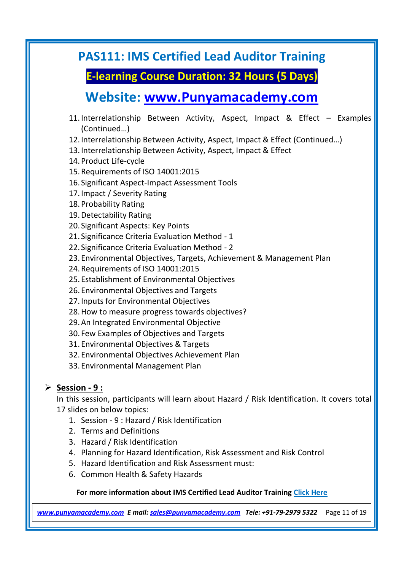### **E-learning Course Duration: 32 Hours (5 Days)**

### **Website: [www.Punyamacademy.com](http://www.punyamacademy.com/)**

- 11.Interrelationship Between Activity, Aspect, Impact & Effect Examples (Continued…)
- 12.Interrelationship Between Activity, Aspect, Impact & Effect (Continued…)
- 13.Interrelationship Between Activity, Aspect, Impact & Effect
- 14.Product Life-cycle
- 15.Requirements of ISO 14001:2015
- 16. Significant Aspect-Impact Assessment Tools
- 17.Impact / Severity Rating
- 18.Probability Rating
- 19.Detectability Rating
- 20. Significant Aspects: Key Points
- 21. Significance Criteria Evaluation Method 1
- 22. Significance Criteria Evaluation Method 2
- 23.Environmental Objectives, Targets, Achievement & Management Plan
- 24.Requirements of ISO 14001:2015
- 25.Establishment of Environmental Objectives
- 26.Environmental Objectives and Targets
- 27.Inputs for Environmental Objectives
- 28.How to measure progress towards objectives?
- 29.An Integrated Environmental Objective
- 30. Few Examples of Objectives and Targets
- 31.Environmental Objectives & Targets
- 32.Environmental Objectives Achievement Plan
- 33.Environmental Management Plan

#### **Session - 9 :**

In this session, participants will learn about Hazard / Risk Identification. It covers total 17 slides on below topics:

- 1. Session 9 : Hazard / Risk Identification
- 2. Terms and Definitions
- 3. Hazard / Risk Identification
- 4. Planning for Hazard Identification, Risk Assessment and Risk Control
- 5. Hazard Identification and Risk Assessment must:
- 6. Common Health & Safety Hazards

#### **For more information about IMS Certified Lead Auditor Training [Click Here](https://www.punyamacademy.com/course/hse/ims-certified-lead-auditor-training)**

*[www.punyamacademy.com](https://www.punyamacademy.com/) E mail: [sales@punyamacademy.com](mailto:sales@punyamacademy.com) Tele: +91-79-2979 5322* Page 11 of 19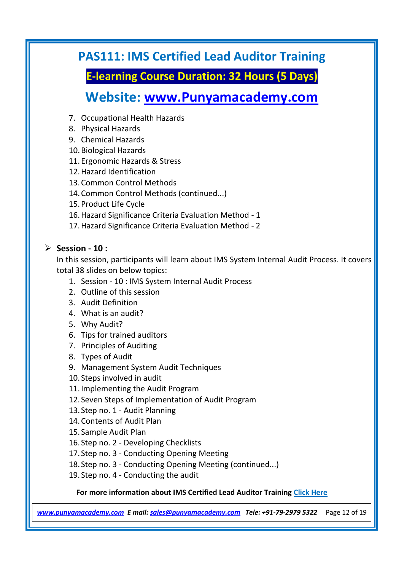**E-learning Course Duration: 32 Hours (5 Days)**

# **Website: [www.Punyamacademy.com](http://www.punyamacademy.com/)**

- 7. Occupational Health Hazards
- 8. Physical Hazards
- 9. Chemical Hazards
- 10.Biological Hazards
- 11.Ergonomic Hazards & Stress
- 12.Hazard Identification
- 13.Common Control Methods
- 14.Common Control Methods (continued...)
- 15.Product Life Cycle
- 16.Hazard Significance Criteria Evaluation Method 1
- 17.Hazard Significance Criteria Evaluation Method 2

#### **Session - 10 :**

In this session, participants will learn about IMS System Internal Audit Process. It covers total 38 slides on below topics:

- 1. Session 10 : IMS System Internal Audit Process
- 2. Outline of this session
- 3. Audit Definition
- 4. What is an audit?
- 5. Why Audit?
- 6. Tips for trained auditors
- 7. Principles of Auditing
- 8. Types of Audit
- 9. Management System Audit Techniques
- 10. Steps involved in audit
- 11.Implementing the Audit Program
- 12. Seven Steps of Implementation of Audit Program
- 13. Step no. 1 Audit Planning
- 14.Contents of Audit Plan
- 15. Sample Audit Plan
- 16. Step no. 2 Developing Checklists
- 17. Step no. 3 Conducting Opening Meeting
- 18. Step no. 3 Conducting Opening Meeting (continued...)
- 19. Step no. 4 Conducting the audit

#### **For more information about IMS Certified Lead Auditor Training [Click Here](https://www.punyamacademy.com/course/hse/ims-certified-lead-auditor-training)**

*[www.punyamacademy.com](https://www.punyamacademy.com/) E mail: [sales@punyamacademy.com](mailto:sales@punyamacademy.com) Tele: +91-79-2979 5322* Page 12 of 19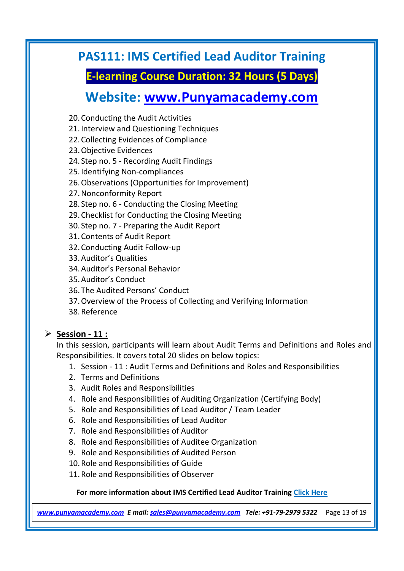**E-learning Course Duration: 32 Hours (5 Days)**

## **Website: [www.Punyamacademy.com](http://www.punyamacademy.com/)**

- 20.Conducting the Audit Activities
- 21.Interview and Questioning Techniques
- 22.Collecting Evidences of Compliance
- 23.Objective Evidences
- 24. Step no. 5 Recording Audit Findings
- 25.Identifying Non-compliances
- 26.Observations (Opportunities for Improvement)
- 27.Nonconformity Report
- 28. Step no. 6 Conducting the Closing Meeting
- 29.Checklist for Conducting the Closing Meeting
- 30. Step no. 7 Preparing the Audit Report
- 31.Contents of Audit Report
- 32.Conducting Audit Follow-up
- 33.Auditor's Qualities
- 34.Auditor's Personal Behavior
- 35.Auditor's Conduct
- 36.The Audited Persons' Conduct
- 37.Overview of the Process of Collecting and Verifying Information
- 38.Reference

#### **Session - 11 :**

In this session, participants will learn about Audit Terms and Definitions and Roles and Responsibilities. It covers total 20 slides on below topics:

- 1. Session 11 : Audit Terms and Definitions and Roles and Responsibilities
- 2. Terms and Definitions
- 3. Audit Roles and Responsibilities
- 4. Role and Responsibilities of Auditing Organization (Certifying Body)
- 5. Role and Responsibilities of Lead Auditor / Team Leader
- 6. Role and Responsibilities of Lead Auditor
- 7. Role and Responsibilities of Auditor
- 8. Role and Responsibilities of Auditee Organization
- 9. Role and Responsibilities of Audited Person
- 10.Role and Responsibilities of Guide
- 11.Role and Responsibilities of Observer

#### **For more information about IMS Certified Lead Auditor Training [Click Here](https://www.punyamacademy.com/course/hse/ims-certified-lead-auditor-training)**

*[www.punyamacademy.com](https://www.punyamacademy.com/) E mail: [sales@punyamacademy.com](mailto:sales@punyamacademy.com) Tele: +91-79-2979 5322* Page 13 of 19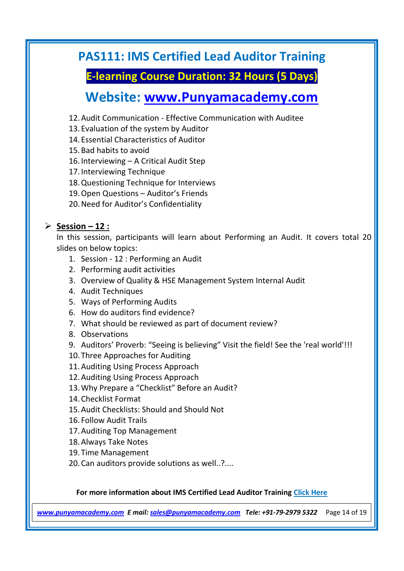**E-learning Course Duration: 32 Hours (5 Days)**

# **Website: [www.Punyamacademy.com](http://www.punyamacademy.com/)**

- 12.Audit Communication Effective Communication with Auditee
- 13.Evaluation of the system by Auditor
- 14.Essential Characteristics of Auditor
- 15.Bad habits to avoid
- 16.Interviewing A Critical Audit Step
- 17.Interviewing Technique
- 18.Questioning Technique for Interviews
- 19.Open Questions Auditor's Friends
- 20.Need for Auditor's Confidentiality

#### **Session – 12 :**

In this session, participants will learn about Performing an Audit. It covers total 20 slides on below topics:

- 1. Session 12 : Performing an Audit
- 2. Performing audit activities
- 3. Overview of Quality & HSE Management System Internal Audit
- 4. Audit Techniques
- 5. Ways of Performing Audits
- 6. How do auditors find evidence?
- 7. What should be reviewed as part of document review?
- 8. Observations
- 9. Auditors' Proverb: "Seeing is believing" Visit the field! See the 'real world'!!!
- 10.Three Approaches for Auditing
- 11.Auditing Using Process Approach
- 12.Auditing Using Process Approach
- 13.Why Prepare a "Checklist" Before an Audit?
- 14.Checklist Format
- 15.Audit Checklists: Should and Should Not
- 16. Follow Audit Trails
- 17.Auditing Top Management
- 18.Always Take Notes
- 19.Time Management
- 20.Can auditors provide solutions as well..?....

#### **For more information about IMS Certified Lead Auditor Training [Click Here](https://www.punyamacademy.com/course/hse/ims-certified-lead-auditor-training)**

*[www.punyamacademy.com](https://www.punyamacademy.com/) E mail: [sales@punyamacademy.com](mailto:sales@punyamacademy.com) Tele: +91-79-2979 5322* Page 14 of 19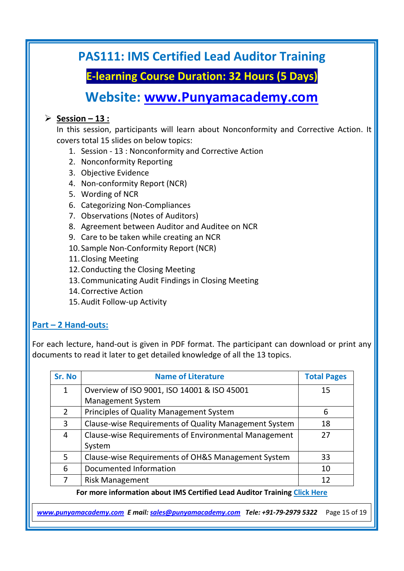**E-learning Course Duration: 32 Hours (5 Days)**

### **Website: [www.Punyamacademy.com](http://www.punyamacademy.com/)**

#### **Session – 13 :**

In this session, participants will learn about Nonconformity and Corrective Action. It covers total 15 slides on below topics:

- 1. Session 13 : Nonconformity and Corrective Action
- 2. Nonconformity Reporting
- 3. Objective Evidence
- 4. Non-conformity Report (NCR)
- 5. Wording of NCR
- 6. Categorizing Non-Compliances
- 7. Observations (Notes of Auditors)
- 8. Agreement between Auditor and Auditee on NCR
- 9. Care to be taken while creating an NCR
- 10. Sample Non-Conformity Report (NCR)
- 11.Closing Meeting
- 12.Conducting the Closing Meeting
- 13.Communicating Audit Findings in Closing Meeting
- 14.Corrective Action
- 15.Audit Follow-up Activity

#### **Part – 2 Hand-outs:**

For each lecture, hand-out is given in PDF format. The participant can download or print any documents to read it later to get detailed knowledge of all the 13 topics.

| Sr. No        | <b>Name of Literature</b>                             | <b>Total Pages</b> |
|---------------|-------------------------------------------------------|--------------------|
| 1             | Overview of ISO 9001, ISO 14001 & ISO 45001           | 15                 |
|               | <b>Management System</b>                              |                    |
| $\mathcal{L}$ | Principles of Quality Management System               | 6                  |
| 3             | Clause-wise Requirements of Quality Management System | 18                 |
| 4             | Clause-wise Requirements of Environmental Management  | 27                 |
|               | System                                                |                    |
| 5             | Clause-wise Requirements of OH&S Management System    | 33                 |
| 6             | Documented Information                                | 10                 |
|               | <b>Risk Management</b>                                | 12                 |

**For more information about IMS Certified Lead Auditor Training [Click Here](https://www.punyamacademy.com/course/hse/ims-certified-lead-auditor-training)**

*[www.punyamacademy.com](https://www.punyamacademy.com/) E mail: [sales@punyamacademy.com](mailto:sales@punyamacademy.com) Tele: +91-79-2979 5322* Page 15 of 19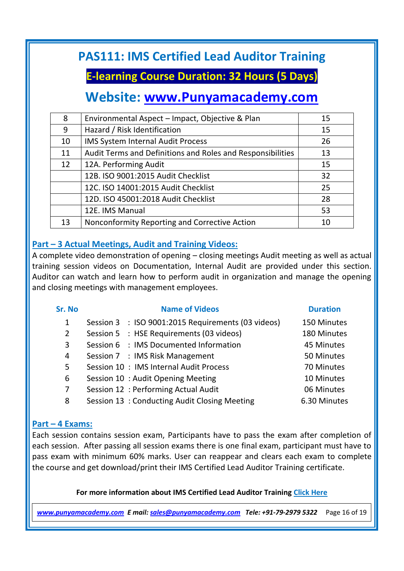**E-learning Course Duration: 32 Hours (5 Days)**

# **Website: [www.Punyamacademy.com](http://www.punyamacademy.com/)**

| 8  | Environmental Aspect - Impact, Objective & Plan            | 15 |
|----|------------------------------------------------------------|----|
| 9  | Hazard / Risk Identification                               | 15 |
| 10 | <b>IMS System Internal Audit Process</b>                   | 26 |
| 11 | Audit Terms and Definitions and Roles and Responsibilities | 13 |
| 12 | 12A. Performing Audit                                      | 15 |
|    | 12B. ISO 9001:2015 Audit Checklist                         | 32 |
|    | 12C. ISO 14001:2015 Audit Checklist                        | 25 |
|    | 12D. ISO 45001:2018 Audit Checklist                        | 28 |
|    | 12E. IMS Manual                                            | 53 |
| 13 | Nonconformity Reporting and Corrective Action              | 10 |

#### **Part – 3 Actual Meetings, Audit and Training Videos:**

A complete video demonstration of opening – closing meetings Audit meeting as well as actual training session videos on Documentation, Internal Audit are provided under this section. Auditor can watch and learn how to perform audit in organization and manage the opening and closing meetings with management employees.

| Sr. No | <b>Name of Videos</b>                              | <b>Duration</b> |
|--------|----------------------------------------------------|-----------------|
| 1      | Session 3 : ISO 9001:2015 Requirements (03 videos) | 150 Minutes     |
| 2      | Session 5 : HSE Requirements (03 videos)           | 180 Minutes     |
| 3      | Session 6 : IMS Documented Information             | 45 Minutes      |
| 4      | Session 7 : IMS Risk Management                    | 50 Minutes      |
| 5      | Session 10 : IMS Internal Audit Process            | 70 Minutes      |
| 6      | Session 10: Audit Opening Meeting                  | 10 Minutes      |
| 7      | Session 12 : Performing Actual Audit               | 06 Minutes      |
| 8      | Session 13: Conducting Audit Closing Meeting       | 6.30 Minutes    |

#### **Part – 4 Exams:**

Each session contains session exam, Participants have to pass the exam after completion of each session. After passing all session exams there is one final exam, participant must have to pass exam with minimum 60% marks. User can reappear and clears each exam to complete the course and get download/print their IMS Certified Lead Auditor Training certificate.

#### **For more information about IMS Certified Lead Auditor Training [Click Here](https://www.punyamacademy.com/course/hse/ims-certified-lead-auditor-training)**

*[www.punyamacademy.com](https://www.punyamacademy.com/) E mail: [sales@punyamacademy.com](mailto:sales@punyamacademy.com) Tele: +91-79-2979 5322* Page 16 of 19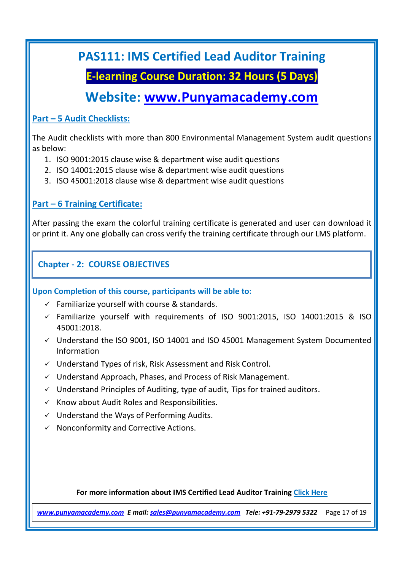### **E-learning Course Duration: 32 Hours (5 Days)**

### **Website: [www.Punyamacademy.com](http://www.punyamacademy.com/)**

#### **Part – 5 Audit Checklists:**

The Audit checklists with more than 800 Environmental Management System audit questions as below:

- 1. ISO 9001:2015 clause wise & department wise audit questions
- 2. ISO 14001:2015 clause wise & department wise audit questions
- 3. ISO 45001:2018 clause wise & department wise audit questions

#### **Part – 6 Training Certificate:**

After passing the exam the colorful training certificate is generated and user can download it or print it. Any one globally can cross verify the training certificate through our LMS platform.

#### **Chapter - 2: COURSE OBJECTIVES**

**Upon Completion of this course, participants will be able to:** 

- $\checkmark$  Familiarize yourself with course & standards.
- $\checkmark$  Familiarize yourself with requirements of ISO 9001:2015, ISO 14001:2015 & ISO 45001:2018.
- Understand the ISO 9001, ISO 14001 and ISO 45001 Management System Documented Information
- $\checkmark$  Understand Types of risk, Risk Assessment and Risk Control.
- $\checkmark$  Understand Approach, Phases, and Process of Risk Management.
- $\checkmark$  Understand Principles of Auditing, type of audit, Tips for trained auditors.
- $\checkmark$  Know about Audit Roles and Responsibilities.
- $\checkmark$  Understand the Ways of Performing Audits.
- $\checkmark$  Nonconformity and Corrective Actions.

#### **For more information about IMS Certified Lead Auditor Training [Click Here](https://www.punyamacademy.com/course/hse/ims-certified-lead-auditor-training)**

*[www.punyamacademy.com](https://www.punyamacademy.com/) E mail: [sales@punyamacademy.com](mailto:sales@punyamacademy.com) Tele: +91-79-2979 5322* Page 17 of 19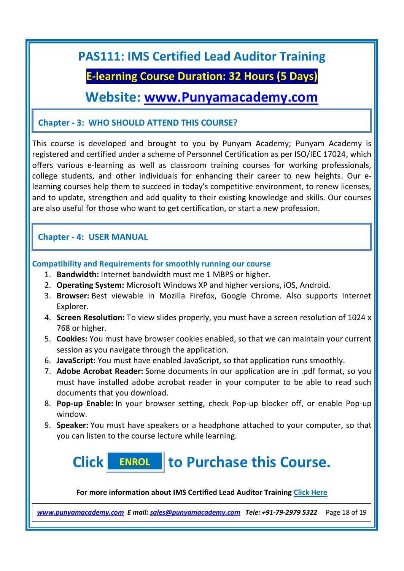### **E-learning Course Duration: 32 Hours (5 Days)**

### **Website: [www.Punyamacademy.com](http://www.punyamacademy.com/)**

#### **Chapter - 3: WHO SHOULD ATTEND THIS COURSE?**

This course is developed and brought to you by Punyam Academy; Punyam Academy is registered and certified under a scheme of Personnel Certification as per ISO/IEC 17024, which offers various e-learning as well as classroom training courses for working professionals, college students, and other individuals for enhancing their career to new heights. Our elearning courses help them to succeed in today's competitive environment, to renew licenses, and to update, strengthen and add quality to their existing knowledge and skills. Our courses are also useful for those who want to get certification, or start a new profession.

#### **Chapter - 4: USER MANUAL**

#### **Compatibility and Requirements for smoothly running our course**

- 1. **Bandwidth:** Internet bandwidth must me 1 MBPS or higher.
- 2. **Operating System:** Microsoft Windows XP and higher versions, iOS, Android.
- 3. **Browser:** Best viewable in Mozilla Firefox, Google Chrome. Also supports Internet Explorer.
- 4. **Screen Resolution:** To view slides properly, you must have a screen resolution of 1024 x 768 or higher.
- 5. **Cookies:** You must have browser cookies enabled, so that we can maintain your current session as you navigate through the application.
- 6. **JavaScript:** You must have enabled JavaScript, so that application runs smoothly.
- 7. **Adobe Acrobat Reader:** Some documents in our application are in .pdf format, so you must have installed adobe acrobat reader in your computer to be able to read such documents that you download.
- 8. **Pop-up Enable:** In your browser setting, check Pop-up blocker off, or enable Pop-up window.
- 9. **Speaker:** You must have speakers or a headphone attached to your computer, so that you can listen to the course lecture while learning.

#### **Click to Purchase this Course. [ENROL](https://www.punyamacademy.com/book/ims-certified-lead-auditor-training)**

**For more information about IMS Certified Lead Auditor Training [Click Here](https://www.punyamacademy.com/course/hse/ims-certified-lead-auditor-training)**

*[www.punyamacademy.com](https://www.punyamacademy.com/) E mail: [sales@punyamacademy.com](mailto:sales@punyamacademy.com) Tele: +91-79-2979 5322* Page 18 of 19